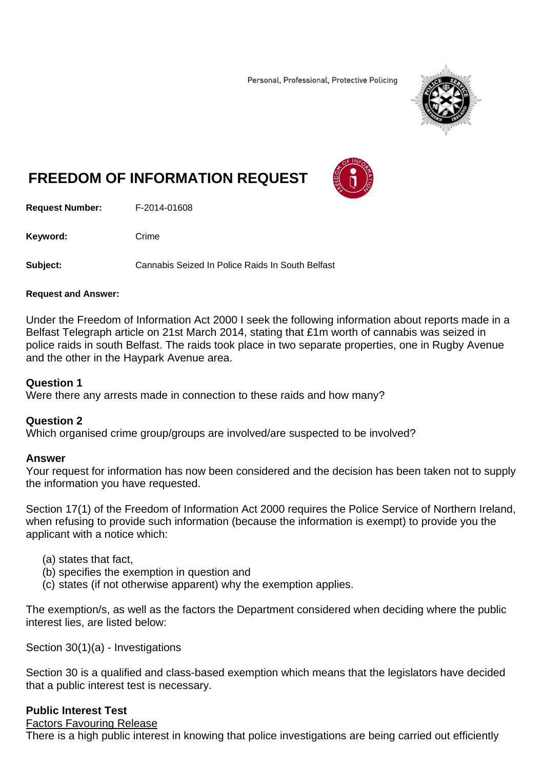Personal, Professional, Protective Policing



# **FREEDOM OF INFORMATION REQUEST**

**Request Number:** F-2014-01608

Keyword: Crime

**Subject:** Cannabis Seized In Police Raids In South Belfast

#### **Request and Answer:**

Under the Freedom of Information Act 2000 I seek the following information about reports made in a Belfast Telegraph article on 21st March 2014, stating that £1m worth of cannabis was seized in police raids in south Belfast. The raids took place in two separate properties, one in Rugby Avenue and the other in the Haypark Avenue area.

#### **Question 1**

Were there any arrests made in connection to these raids and how many?

## **Question 2**

Which organised crime group/groups are involved/are suspected to be involved?

## **Answer**

Your request for information has now been considered and the decision has been taken not to supply the information you have requested.

Section 17(1) of the Freedom of Information Act 2000 requires the Police Service of Northern Ireland, when refusing to provide such information (because the information is exempt) to provide you the applicant with a notice which:

- (a) states that fact,
- (b) specifies the exemption in question and
- (c) states (if not otherwise apparent) why the exemption applies.

The exemption/s, as well as the factors the Department considered when deciding where the public interest lies, are listed below:

Section 30(1)(a) - Investigations

Section 30 is a qualified and class-based exemption which means that the legislators have decided that a public interest test is necessary.

## **Public Interest Test**

#### Factors Favouring Release

There is a high public interest in knowing that police investigations are being carried out efficiently